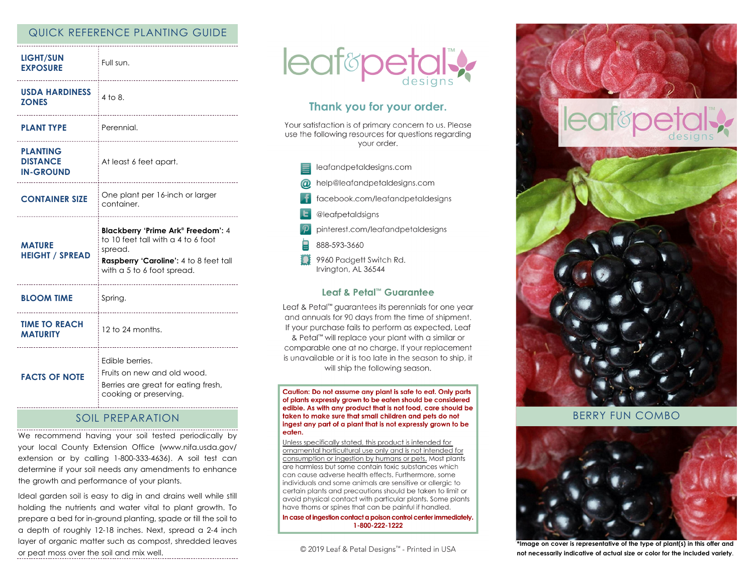## QUICK REFERENCE PLANTING GUIDE

| <b>LIGHT/SUN</b><br><b>EXPOSURE</b>                    | Full sun.                                                                                                                    |
|--------------------------------------------------------|------------------------------------------------------------------------------------------------------------------------------|
| <b>USDA HARDINESS</b><br><b>ZONES</b>                  | $4$ to $8$ .<br>-------------------------                                                                                    |
| <b>PLANT TYPE</b>                                      | Perennial.                                                                                                                   |
| <b>PLANTING</b><br><b>DISTANCE</b><br><b>IN-GROUND</b> | At least 6 feet apart.                                                                                                       |
| <b>CONTAINER SIZE</b>                                  | One plant per 16-inch or larger<br>container.                                                                                |
|                                                        | <b>Blackberry 'Prime Ark® Freedom': 4</b>                                                                                    |
| <b>MATURE</b><br><b>HEIGHT / SPREAD</b>                | to 10 feet tall with a 4 to 6 foot<br>spread.<br><b>Raspberry 'Caroline': 4 to 8 feet tall</b><br>with a 5 to 6 foot spread. |
| <b>BLOOM TIME</b>                                      | Spring.                                                                                                                      |
| <b>TIME TO REACH</b><br><b>MATURITY</b>                | 12 to 24 months.                                                                                                             |

### SOIL PREPARATION

We recommend having your soil tested periodically by your local County Extension Office (www.nifa.usda.gov/ extension or by calling 1-800-333-4636). A soil test can determine if your soil needs any amendments to enhance the growth and performance of your plants.

Ideal garden soil is easy to dig in and drains well while still holding the nutrients and water vital to plant growth. To prepare a bed for in-ground planting, spade or till the soil to a depth of roughly 12-18 inches. Next, spread a 2-4 inch layer of organic matter such as compost, shredded leaves or peat moss over the soil and mix well.



# Thank you for your order.

Your satisfaction is of primary concern to us. Please use the following resources for questions regarding vour order.



#### Leaf & Petal™ Guarantee

Leaf & Petal<sup>™</sup> guarantees its perennials for one year and annuals for 90 days from the time of shipment. If your purchase fails to perform as expected, Leaf & Petal™ will replace your plant with a similar or comparable one at no charge. If your replacement is unavailable or it is too late in the season to ship, it will ship the following season.

Caution: Do not assume any plant is safe to eat. Only parts of plants expressly grown to be eaten should be considered edible. As with any product that is not food, care should be taken to make sure that small children and pets do not ingest any part of a plant that is not expressly grown to be eaten.

Unless specifically stated, this product is intended for ornamental horticultural use only and is not intended for consumption or ingestion by humans or pets. Most plants are harmless but some contain toxic substances which can cause adverse health effects. Furthermore, some individuals and some animals are sensitive or allergic to certain plants and precautions should be taken to limit or avoid physical contact with particular plants. Some plants have thorns or spines that can be painful if handled.

In case of ingestion contact a poison control center immediately. 1-800-222-1222

© 2019 Leaf & Petal Designs™ - Printed in USA



BERRY FUN COMBO



**\*Image on cover is representative of the type of plant(s) in this offer and not necessarily indicative of actual size or color for the included variety**.